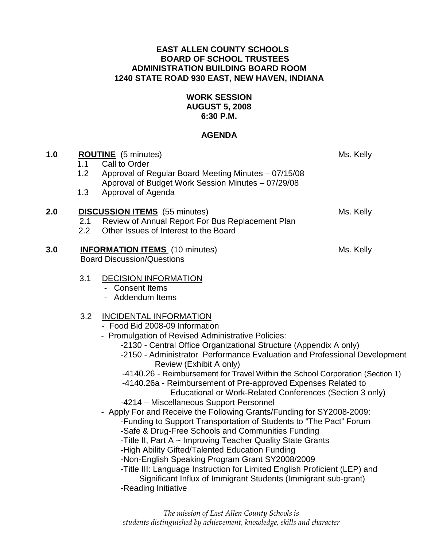### **EAST ALLEN COUNTY SCHOOLS BOARD OF SCHOOL TRUSTEES ADMINISTRATION BUILDING BOARD ROOM 1240 STATE ROAD 930 EAST, NEW HAVEN, INDIANA**

## **WORK SESSION AUGUST 5, 2008 6:30 P.M.**

### **AGENDA**

| 1.0 | 1.1<br>1.2<br>1.3 | <b>ROUTINE</b> (5 minutes)<br>Call to Order<br>Approval of Regular Board Meeting Minutes - 07/15/08<br>Approval of Budget Work Session Minutes - 07/29/08<br>Approval of Agenda                                                                                                                                                                                                                                                                                                                                                                                                                                                                                                                                                                                                                                                                                                                                                                                                                                                                                                                           | Ms. Kelly |
|-----|-------------------|-----------------------------------------------------------------------------------------------------------------------------------------------------------------------------------------------------------------------------------------------------------------------------------------------------------------------------------------------------------------------------------------------------------------------------------------------------------------------------------------------------------------------------------------------------------------------------------------------------------------------------------------------------------------------------------------------------------------------------------------------------------------------------------------------------------------------------------------------------------------------------------------------------------------------------------------------------------------------------------------------------------------------------------------------------------------------------------------------------------|-----------|
| 2.0 | 2.1<br>2.2        | <b>DISCUSSION ITEMS</b> (55 minutes)<br>Review of Annual Report For Bus Replacement Plan<br>Other Issues of Interest to the Board                                                                                                                                                                                                                                                                                                                                                                                                                                                                                                                                                                                                                                                                                                                                                                                                                                                                                                                                                                         | Ms. Kelly |
| 3.0 |                   | <b>INFORMATION ITEMS</b> (10 minutes)<br><b>Board Discussion/Questions</b>                                                                                                                                                                                                                                                                                                                                                                                                                                                                                                                                                                                                                                                                                                                                                                                                                                                                                                                                                                                                                                | Ms. Kelly |
|     | 3.1               | <b>DECISION INFORMATION</b><br>- Consent Items<br>- Addendum Items                                                                                                                                                                                                                                                                                                                                                                                                                                                                                                                                                                                                                                                                                                                                                                                                                                                                                                                                                                                                                                        |           |
| 3.2 |                   | <b>INCIDENTAL INFORMATION</b><br>- Food Bid 2008-09 Information<br>- Promulgation of Revised Administrative Policies:<br>-2130 - Central Office Organizational Structure (Appendix A only)<br>-2150 - Administrator Performance Evaluation and Professional Development<br>Review (Exhibit A only)<br>-4140.26 - Reimbursement for Travel Within the School Corporation (Section 1)<br>-4140.26a - Reimbursement of Pre-approved Expenses Related to<br>Educational or Work-Related Conferences (Section 3 only)<br>-4214 - Miscellaneous Support Personnel<br>- Apply For and Receive the Following Grants/Funding for SY2008-2009:<br>-Funding to Support Transportation of Students to "The Pact" Forum<br>-Safe & Drug-Free Schools and Communities Funding<br>-Title II, Part A ~ Improving Teacher Quality State Grants<br>-High Ability Gifted/Talented Education Funding<br>-Non-English Speaking Program Grant SY2008/2009<br>-Title III: Language Instruction for Limited English Proficient (LEP) and<br>Significant Influx of Immigrant Students (Immigrant sub-grant)<br>-Reading Initiative |           |